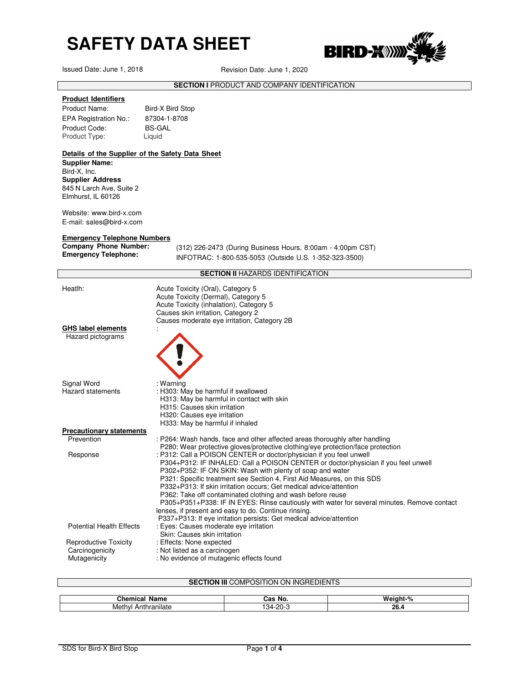Issued Date: June 1, 2018 Revision Date: June 1, 2020



**SECTION I** PRODUCT AND COMPANY IDENTIFICATION

### **Product Identifiers**

Product Name: Bird-X Bird Stop EPA Registration No.: 87304-1-8708 Product Code: BS-GAL<br>Product Type: Liquid Product Type:

### **Details of the Supplier of the Safety Data Sheet Supplier Name:**  Bird-X, Inc. **Supplier Address** 845 N Larch Ave, Suite 2 Elmhurst, IL 60126

Website: www.bird-x.com E-mail: sales@bird-x.com

### **Emergency Telephone Numbers**

**Company Phone Number:** 

(312) 226-2473 (During Business Hours, 8:00am - 4:00pm CST) **Emergency Telephone:** INFOTRAC: 1-800-535-5053 (Outside U.S. 1-352-323-3500)

### **SECTION II** HAZARDS IDENTIFICATION

| Heatlh:                                 | Acute Toxicity (Oral), Category 5<br>Acute Toxicity (Dermal), Category 5<br>Acute Toxicity (inhalation), Category 5<br>Causes skin irritation, Category 2                                                                                                                                                                                                                                                                                                                                                                                                                                                                                                           |
|-----------------------------------------|---------------------------------------------------------------------------------------------------------------------------------------------------------------------------------------------------------------------------------------------------------------------------------------------------------------------------------------------------------------------------------------------------------------------------------------------------------------------------------------------------------------------------------------------------------------------------------------------------------------------------------------------------------------------|
| GHS label elements<br>Hazard pictograms | Causes moderate eye irritation, Category 2B                                                                                                                                                                                                                                                                                                                                                                                                                                                                                                                                                                                                                         |
| Signal Word                             | : Warning                                                                                                                                                                                                                                                                                                                                                                                                                                                                                                                                                                                                                                                           |
| Hazard statements                       | : H303: May be harmful if swallowed<br>H313: May be harmful in contact with skin<br>H315: Causes skin irritation<br>H320: Causes eye irritation<br>H333: May be harmful if inhaled                                                                                                                                                                                                                                                                                                                                                                                                                                                                                  |
| <b>Precautionary statements</b>         |                                                                                                                                                                                                                                                                                                                                                                                                                                                                                                                                                                                                                                                                     |
| Prevention                              | : P264: Wash hands, face and other affected areas thoroughly after handling<br>P280: Wear protective gloves/protective clothing/eye protection/face protection                                                                                                                                                                                                                                                                                                                                                                                                                                                                                                      |
| Response                                | : P312: Call a POISON CENTER or doctor/physician if you feel unwell<br>P304+P312: IF INHALED: Call a POISON CENTER or doctor/physician if you feel unwell<br>P302+P352: IF ON SKIN: Wash with plenty of soap and water<br>P321: Specific treatment see Section 4, First Aid Measures, on this SDS<br>P332+P313: If skin irritation occurs; Get medical advice/attention<br>P362: Take off contaminated clothing and wash before reuse<br>P305+P351+P338: IF IN EYES: Rinse cautiously with water for several minutes. Remove contact<br>lenses, if present and easy to do. Continue rinsing.<br>P337+P313: If eye irritation persists: Get medical advice/attention |
| <b>Potential Health Effects</b>         | : Eyes: Causes moderate eye irritation<br>Skin: Causes skin irritation                                                                                                                                                                                                                                                                                                                                                                                                                                                                                                                                                                                              |
| <b>Reproductive Toxicity</b>            | : Effects: None expected                                                                                                                                                                                                                                                                                                                                                                                                                                                                                                                                                                                                                                            |
| Carcinogenicity                         | : Not listed as a carcinogen                                                                                                                                                                                                                                                                                                                                                                                                                                                                                                                                                                                                                                        |
| Mutagenicity                            | : No evidence of mutagenic effects found                                                                                                                                                                                                                                                                                                                                                                                                                                                                                                                                                                                                                            |

| <b>SECTION III COMPOSITION ON INGREDIENTS</b> |          |          |  |  |
|-----------------------------------------------|----------|----------|--|--|
|                                               |          |          |  |  |
| <b>Chemical Name</b>                          | Cas No.  | Weight-% |  |  |
| Methyl Anthranilate                           | 134-20-3 | 26.4     |  |  |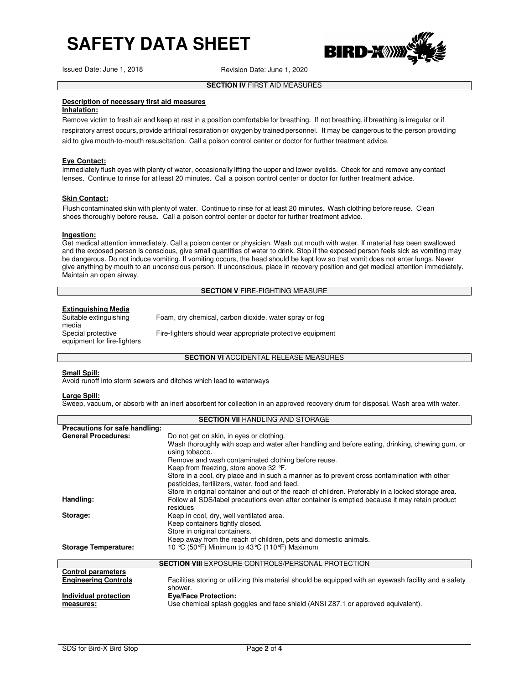Issued Date: June 1, 2018 Revision Date: June 1, 2020

IRD-**X**WX



### **Description of necessary first aid measures**

### **Inhalation:**

Remove victim to fresh air and keep at rest in a position comfortable for breathing. If not breathing, if breathing is irregular or if respiratory arrest occurs, provide artificial respiration or oxygen by trained personnel. It may be dangerous to the person providing aid to give mouth-to-mouth resuscitation. Call a poison control center or doctor for further treatment advice.

### **Eye Contact:**

Immediately flush eyes with plenty of water, occasionally lifting the upper and lower eyelids. Check for and remove any contact lenses. Continue to rinse for at least 20 minutes. Call a poison control center or doctor for further treatment advice.

### **Skin Contact:**

Flush contaminated skin with plenty of water. Continue to rinse for at least 20 minutes. Wash clothing before reuse. Clean shoes thoroughly before reuse. Call a poison control center or doctor for further treatment advice.

### **Ingestion:**

Get medical attention immediately. Call a poison center or physician. Wash out mouth with water. If material has been swallowed and the exposed person is conscious, give small quantities of water to drink. Stop if the exposed person feels sick as vomiting may be dangerous. Do not induce vomiting. If vomiting occurs, the head should be kept low so that vomit does not enter lungs. Never give anything by mouth to an unconscious person. If unconscious, place in recovery position and get medical attention immediately. Maintain an open airway.

### **SECTION V** FIRE-FIGHTING MEASURE

### **Extinguishing Media**

Suitable extinguishing Foam, dry chemical, carbon dioxide, water spray or fog Special protective equipment for fire-fighters Fire-fighters should wear appropriate protective equipment

### **SECTION VI ACCIDENTAL RELEASE MEASURES**

### **Small Spill:**

media

Avoid runoff into storm sewers and ditches which lead to waterways

### **Large Spill:**

Sweep, vacuum, or absorb with an inert absorbent for collection in an approved recovery drum for disposal. Wash area with water.

|                                | <b>SECTION VII HANDLING AND STORAGE</b>                                                                                                        |
|--------------------------------|------------------------------------------------------------------------------------------------------------------------------------------------|
| Precautions for safe handling: |                                                                                                                                                |
| <b>General Procedures:</b>     | Do not get on skin, in eyes or clothing.                                                                                                       |
|                                | Wash thoroughly with soap and water after handling and before eating, drinking, chewing gum, or<br>using tobacco.                              |
|                                | Remove and wash contaminated clothing before reuse.                                                                                            |
|                                | Keep from freezing, store above 32 °F.                                                                                                         |
|                                | Store in a cool, dry place and in such a manner as to prevent cross contamination with other<br>pesticides, fertilizers, water, food and feed. |
|                                | Store in original container and out of the reach of children. Preferably in a locked storage area.                                             |
| Handling:                      | Follow all SDS/label precautions even after container is emptied because it may retain product<br>residues                                     |
| Storage:                       | Keep in cool, dry, well ventilated area.                                                                                                       |
|                                | Keep containers tightly closed.                                                                                                                |
|                                | Store in original containers.                                                                                                                  |
|                                | Keep away from the reach of children, pets and domestic animals.                                                                               |
| <b>Storage Temperature:</b>    | 10 °C (50°F) Minimum to 43°C (110°F) Maximum                                                                                                   |
|                                |                                                                                                                                                |
|                                | <b>SECTION VIII EXPOSURE CONTROLS/PERSONAL PROTECTION</b>                                                                                      |
| <b>Control parameters</b>      |                                                                                                                                                |
| <b>Engineering Controls</b>    | Facilities storing or utilizing this material should be equipped with an eyewash facility and a safety                                         |
|                                | shower.                                                                                                                                        |
| Individual protection          | <b>Eve/Face Protection:</b>                                                                                                                    |
| measures:                      | Use chemical splash goggles and face shield (ANSI Z87.1 or approved equivalent).                                                               |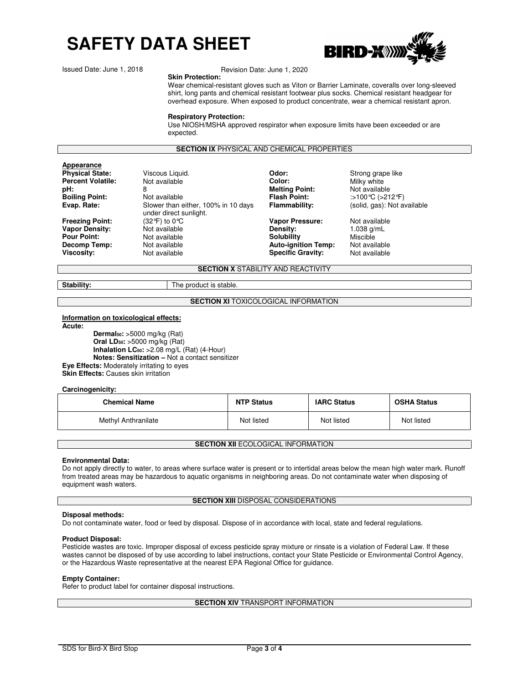

Issued Date: June 1, 2018

### Revision Date: June 1, 2020

**Skin Protection:**  Wear chemical-resistant gloves such as Viton or Barrier Laminate, coveralls over long-sleeved shirt, long pants and chemical resistant footwear plus socks. Chemical resistant headgear for overhead exposure. When exposed to product concentrate, wear a chemical resistant apron.

### **Respiratory Protection:**

Use NIOSH/MSHA approved respirator when exposure limits have been exceeded or are expected.

### **SECTION IX** PHYSICAL AND CHEMICAL PROPERTIES

## **Appearance**<br>**Physical State:**

**Percent Volatile:** Mot available **Color:** Color: Milky white **Color:** Milky white **B**<br> **pH:** B 8 **pH:** 8 **Melting Point:** Not available **Boiling Point:** Not available **Flash Point:** :>100℃ (>212°F)<br>**Evap. Rate:** Slower than either, 100% in 10 days **Flammability:** (solid, gas): Not av **Evap. Rate:** Slower than either, 100% in 10 days under direct sunlight.<br>(32 $\degree$ F) to 0 $\degree$ C **Freezing Point:** (32°F) to 0°C **Vapor Pressure:** Not available<br> **Vapor Density:** Not available **Vapor Density:** 1.038 g/mL **Vapor Density:**  $\frac{1038 \text{ g}}{1038 \text{ g}} = 1.038 \text{ g}}$ <br> **Pour Point:** Not available **Density: Constant Constant Constant Constant Constant Constant Constant Constant Constant Constant Constant Constant Constant Constant C Pour Point: Not available and Solubility** Miscible Miscible **Not available Not available Not available Conservery Auto-ignition Temp:** Not available **Decomp Temp:** Not available **Auto-ignition Temp:** Not available **Viscosity:** Not available **Viscosity:** Not available

**Specific Gravity:** 

Viscous Liquid. **Physical State:** *Odor***:** Strong grape like (solid, gas): Not available

**SECTION X** STABILITY AND REACTIVITY

**Stability:** The product is stable.

### **SECTION XI TOXICOLOGICAL INFORMATION**

### **Information on toxicological effects:**

**Acute: Dermal50:** >5000 mg/kg (Rat) **Oral LD50:** >5000 mg/kg (Rat) **Inhalation LC50:** >2.08 mg/L (Rat) (4-Hour) **Notes: Sensitization –** Not a contact sensitizer **Eye Effects:** Moderately irritating to eyes **Skin Effects: Causes skin irritation** 

### **Carcinogenicity:**

| <b>Chemical Name</b> | <b>NTP Status</b> | <b>IARC Status</b> | <b>OSHA Status</b> |
|----------------------|-------------------|--------------------|--------------------|
| Methyl Anthranilate  | Not listed        | Not listed         | Not listed         |

### **SECTION XII ECOLOGICAL INFORMATION**

### **Environmental Data:**

Do not apply directly to water, to areas where surface water is present or to intertidal areas below the mean high water mark. Runoff from treated areas may be hazardous to aquatic organisms in neighboring areas. Do not contaminate water when disposing of equipment wash waters.

### **SECTION XIII DISPOSAL CONSIDERATIONS**

### **Disposal methods:**

Do not contaminate water, food or feed by disposal. Dispose of in accordance with local, state and federal regulations.

### **Product Disposal:**

Pesticide wastes are toxic. Improper disposal of excess pesticide spray mixture or rinsate is a violation of Federal Law. If these wastes cannot be disposed of by use according to label instructions, contact your State Pesticide or Environmental Control Agency, or the Hazardous Waste representative at the nearest EPA Regional Office for guidance.

### **Empty Container:**

Refer to product label for container disposal instructions.

### **SECTION XIV TRANSPORT INFORMATION**

SDS for Bird-X Bird Stop Page **3** of **4**